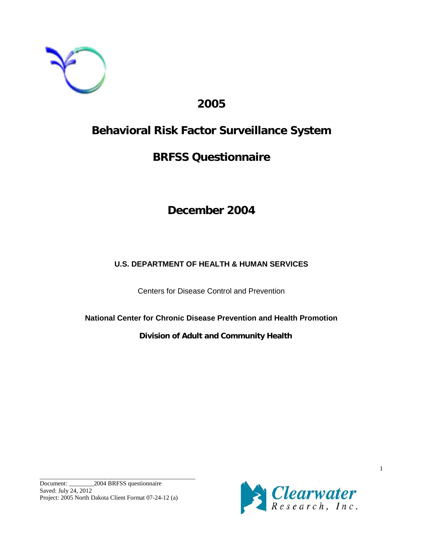

# **2005**

# **Behavioral Risk Factor Surveillance System**

# **BRFSS Questionnaire**

# **December 2004**

# **U.S. DEPARTMENT OF HEALTH & HUMAN SERVICES**

Centers for Disease Control and Prevention

**National Center for Chronic Disease Prevention and Health Promotion**

**Division of Adult and Community Health**

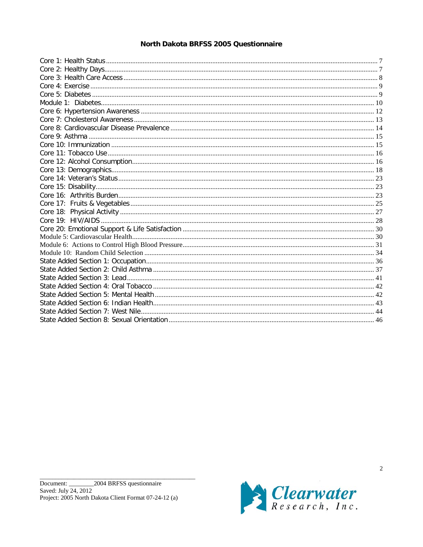## North Dakota BRFSS 2005 Questionnaire

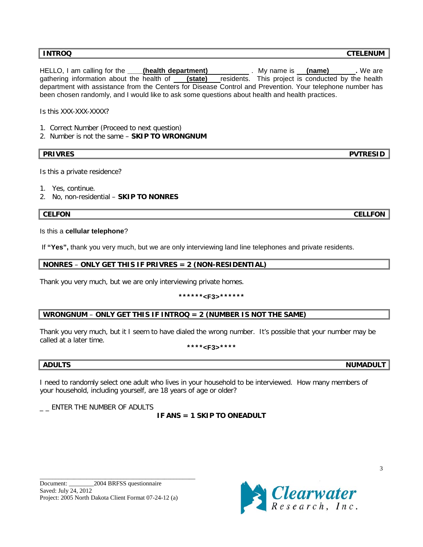HELLO, I am calling for the **(health department)** My name is (name) . We are gathering information about the health of **(state)** residents. This project is conducted by the health department with assistance from the Centers for Disease Control and Prevention. Your telephone number has been chosen randomly, and I would like to ask some questions about health and health practices.

Is this XXX-XXX-XXXX?

- 1. Correct Number (Proceed to next question)
- 2. Number is not the same **SKIP TO WRONGNUM**

**PRIVRES PVTRESID**

Is this a private residence?

1. Yes, continue.

2. No, non-residential – **SKIP TO NONRES**

## **CELFON CELLFON**

## Is this a **cellular telephone**?

If **"Yes",** thank you very much, but we are only interviewing land line telephones and private residents.

## **NONRES** – **ONLY GET THIS IF PRIVRES = 2 (NON-RESIDENTIAL)**

Thank you very much, but we are only interviewing private homes.

## **\*\*\*\*\*\*<F3>\*\*\*\*\*\***

## **WRONGNUM** – **ONLY GET THIS IF INTROQ = 2 (NUMBER IS NOT THE SAME)**

Thank you very much, but it I seem to have dialed the wrong number. It's possible that your number may be called at a later time.

## **\*\*\*\*<F3>\*\*\*\***

I need to randomly select one adult who lives in your household to be interviewed. How many members of your household, including yourself, are 18 years of age or older?

 $\_$  ENTER THE NUMBER OF ADULTS

## **IF ANS = 1 SKIP TO ONEADULT**

\_\_\_\_\_\_\_\_\_\_\_\_\_\_\_\_\_\_\_\_\_\_\_\_\_\_\_\_\_\_\_\_\_\_\_\_\_\_\_\_\_\_\_\_\_\_\_\_\_\_



**ADULTS NUMADULT**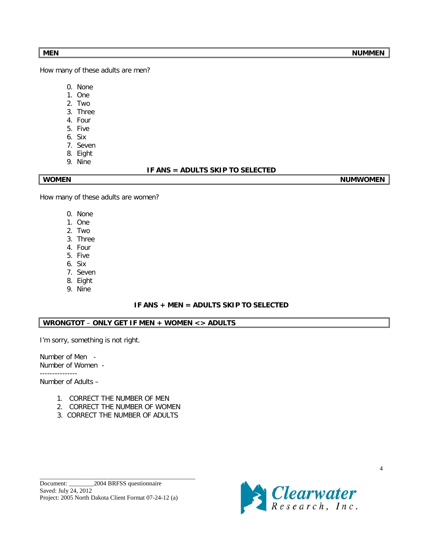How many of these adults are men?

- 0. None
- 1. One
- 2. Two
- 3. Three
- 4. Four
- 5. Five 6. Six
- 7. Seven
- 8. Eight
- 9. Nine

## **IF ANS = ADULTS SKIP TO SELECTED**

WOMEN NUMWOMEN

How many of these adults are women?

- 0. None
- 1. One
- 2. Two
- 3. Three
- 4. Four
- 5. Five
- 6. Six
- 7. Seven
- 8. Eight
- 9. Nine

## **IF ANS + MEN = ADULTS SKIP TO SELECTED**

## **WRONGTOT** – **ONLY GET IF MEN + WOMEN <> ADULTS**

I'm sorry, something is not right.

Number of Men - Number of Women - ---------------

Number of Adults –

- 1. CORRECT THE NUMBER OF MEN
- 2. CORRECT THE NUMBER OF WOMEN
- 3. CORRECT THE NUMBER OF ADULTS

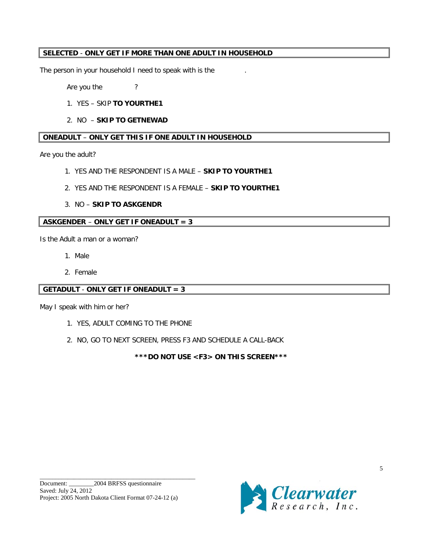## **SELECTED** - **ONLY GET IF MORE THAN ONE ADULT IN HOUSEHOLD**

The person in your household I need to speak with is the

Are you the ?

- 1. YES SKIP **TO YOURTHE1**
- 2. NO **SKIP TO GETNEWAD**

## **ONEADULT** – **ONLY GET THIS IF ONE ADULT IN HOUSEHOLD**

Are you the adult?

- 1. YES AND THE RESPONDENT IS A MALE **SKIP TO YOURTHE1**
- 2. YES AND THE RESPONDENT IS A FEMALE **SKIP TO YOURTHE1**
- 3. NO **SKIP TO ASKGENDR**

## **ASKGENDER** – **ONLY GET IF ONEADULT = 3**

Is the Adult a man or a woman?

- 1. Male
- 2. Female

## **GETADULT** - **ONLY GET IF ONEADULT = 3**

May I speak with him or her?

- 1. YES, ADULT COMING TO THE PHONE
- 2. NO, GO TO NEXT SCREEN, PRESS F3 AND SCHEDULE A CALL-BACK

**\*\*\*DO NOT USE <F3> ON THIS SCREEN\*\*\***

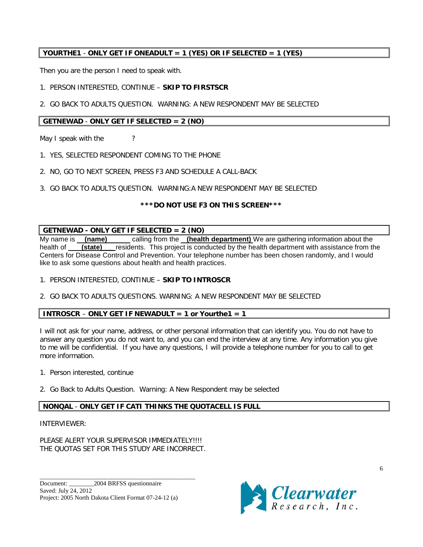## **YOURTHE1** - **ONLY GET IF ONEADULT = 1 (YES) OR IF SELECTED = 1 (YES)**

Then you are the person I need to speak with.

## 1. PERSON INTERESTED, CONTINUE – **SKIP TO FIRSTSCR**

2. GO BACK TO ADULTS QUESTION. WARNING: A NEW RESPONDENT MAY BE SELECTED

## **GETNEWAD** - **ONLY GET IF SELECTED = 2 (NO)**

May I speak with the  $\sim$  ?

- 1. YES, SELECTED RESPONDENT COMING TO THE PHONE
- 2. NO, GO TO NEXT SCREEN, PRESS F3 AND SCHEDULE A CALL-BACK
- 3. GO BACK TO ADULTS QUESTION. WARNING:A NEW RESPONDENT MAY BE SELECTED

## **\*\*\*DO NOT USE F3 ON THIS SCREEN\*\*\***

## **GETNEWAD - ONLY GET IF SELECTED = 2 (NO)**

My name is **(name)** calling from the **(health department)** We are gathering information about the health of **(state)** residents. This project is conducted by the health department with assistance from the health of **(state)** residents. This project is conducted by the health department with assistance from the Centers for Disease Control and Prevention. Your telephone number has been chosen randomly, and I would like to ask some questions about health and health practices.

- 1. PERSON INTERESTED, CONTINUE **SKIP TO INTROSCR**
- 2. GO BACK TO ADULTS QUESTIONS. WARNING: A NEW RESPONDENT MAY BE SELECTED

## **INTROSCR** – **ONLY GET IF NEWADULT = 1 or Yourthe1 = 1**

I will not ask for your name, address, or other personal information that can identify you. You do not have to answer any question you do not want to, and you can end the interview at any time. Any information you give to me will be confidential. If you have any questions, I will provide a telephone number for you to call to get more information.

- 1. Person interested, continue
- 2. Go Back to Adults Question. Warning: A New Respondent may be selected

## **NONQAL** - **ONLY GET IF CATI THINKS THE QUOTACELL IS FULL**

## INTERVIEWER:

PLEASE ALERT YOUR SUPERVISOR IMMEDIATELY !!!! THE QUOTAS SET FOR THIS STUDY ARE INCORRECT.

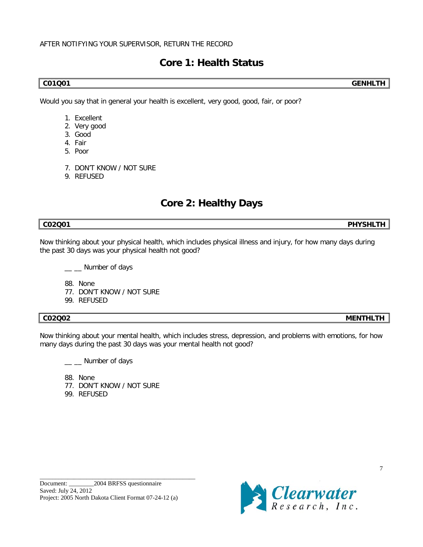## AFTER NOTIFYING YOUR SUPERVISOR, RETURN THE RECORD

# **Core 1: Health Status**

**C01Q01 GENHLTH**

Would you say that in general your health is excellent, very good, good, fair, or poor?

- 1. Excellent
- 2. Very good
- 3. Good
- 4. Fair
- 5. Poor
- 7. DON'T KNOW / NOT SURE
- 9. REFUSED

# **Core 2: Healthy Days**

**C02Q01 PHYSHLTH**

Now thinking about your physical health, which includes physical illness and injury, for how many days during the past 30 days was your physical health not good?

\_\_ \_\_ Number of days

88. None

- 77. DON'T KNOW / NOT SURE
- 99. REFUSED

## **C02Q02 MENTHLTH**

Now thinking about your mental health, which includes stress, depression, and problems with emotions, for how many days during the past 30 days was your mental health not good?

\_ \_ Number of days

- 88. None
- 77. DON'T KNOW / NOT SURE
- 99. REFUSED

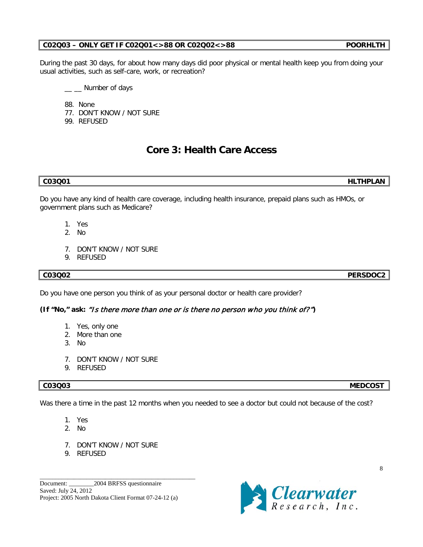## **C02Q03 – ONLY GET IF C02Q01<>88 OR C02Q02<>88 POORHLTH**

During the past 30 days, for about how many days did poor physical or mental health keep you from doing your usual activities, such as self-care, work, or recreation?

\_ \_ Number of days

88. None 77. DON'T KNOW / NOT SURE

99. REFUSED

# **Core 3: Health Care Access**

Do you have any kind of health care coverage, including health insurance, prepaid plans such as HMOs, or government plans such as Medicare?

- 1. Yes
- 2. No
- 7. DON'T KNOW / NOT SURE
- 9. REFUSED

## **C03Q02 PERSDOC2**

Do you have one person you think of as your personal doctor or health care provider?

## **(If "No," ask:** "Is there more than one or is there no person who you think of?"**)**

- 1. Yes, only one
- 2. More than one
- 3. No
- 7. DON'T KNOW / NOT SURE
- 9. REFUSED

Was there a time in the past 12 months when you needed to see a doctor but could not because of the cost?

- 1. Yes
- 2. No
- 7. DON'T KNOW / NOT SURE
- 9. REFUSED

Document: 2004 BRFSS questionnaire Saved: July 24, 2012 Project: 2005 North Dakota Client Format 07-24-12 (a)

\_\_\_\_\_\_\_\_\_\_\_\_\_\_\_\_\_\_\_\_\_\_\_\_\_\_\_\_\_\_\_\_\_\_\_\_\_\_\_\_\_\_\_\_\_\_\_\_\_\_



## **C03Q03 MEDCOST**

**C03Q01 HLTHPLAN**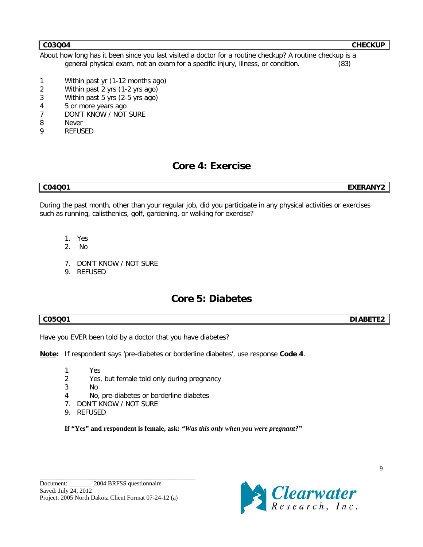About how long has it been since you last visited a doctor for a routine checkup? A routine checkup is a general physical exam, not an exam for a specific injury, illness, or condition. (83)

- 1 Within past yr (1-12 months ago)
- 2 Within past 2 yrs (1-2 yrs ago)
- 3 Within past 5 yrs (2-5 yrs ago)
- 4 5 or more years ago
- 7 DON'T KNOW / NOT SURE
- 8 Never
- 9 REFUSED

# **Core 4: Exercise**

### **C04Q01 EXERANY2**

During the past month, other than your regular job, did you participate in any physical activities or exercises such as running, calisthenics, golf, gardening, or walking for exercise?

- 1. Yes
- 2. No
- 7. DON'T KNOW / NOT SURE
- 9. REFUSED

# **Core 5: Diabetes**

**C05Q01 DIABETE2**

Have you EVER been told by a doctor that you have diabetes?

**Note:** If respondent says 'pre-diabetes or borderline diabetes', use response **Code 4**.

- 1 Yes
- 2 Yes, but female told only during pregnancy
- 3 No
- 4 No, pre-diabetes or borderline diabetes
- 7. DON'T KNOW / NOT SURE
- 9. REFUSED

**If "Yes" and respondent is female, ask:** *"Was this only when you were pregnant?"*

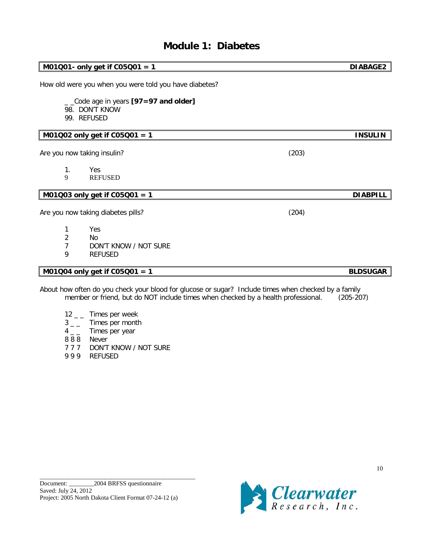# **Module 1: Diabetes**

|                               | $M01Q01$ - only get if $C05Q01 = 1$                                  |                                                                                                                                                                                           | <b>DIABAGE2</b> |
|-------------------------------|----------------------------------------------------------------------|-------------------------------------------------------------------------------------------------------------------------------------------------------------------------------------------|-----------------|
|                               | How old were you when you were told you have diabetes?               |                                                                                                                                                                                           |                 |
|                               | Code age in years [97=97 and older]<br>98. DON'T KNOW<br>99. REFUSED |                                                                                                                                                                                           |                 |
|                               | M01Q02 only get if C05Q01 = 1                                        |                                                                                                                                                                                           | <b>INSULIN</b>  |
|                               | Are you now taking insulin?                                          | (203)                                                                                                                                                                                     |                 |
| 1.<br>9                       | Yes<br><b>REFUSED</b>                                                |                                                                                                                                                                                           |                 |
|                               | M01Q03 only get if C05Q01 = 1                                        |                                                                                                                                                                                           | <b>DIABPILL</b> |
|                               | Are you now taking diabetes pills?                                   | (204)                                                                                                                                                                                     |                 |
| 1<br>2<br>$\overline{7}$<br>9 | Yes<br>No.<br>DON'T KNOW / NOT SURE<br><b>REFUSED</b>                |                                                                                                                                                                                           |                 |
|                               | M01Q04 only get if C05Q01 = 1                                        |                                                                                                                                                                                           | <b>BLDSUGAR</b> |
|                               |                                                                      | About how often do you check your blood for glucose or sugar? Include times when checked by a family<br>member or friend, but do NOT include times when checked by a health professional. | $(205-207)$     |

- $12 -$  Times per week
- $3<sub>-</sub>$  Times per month<br> $4<sub>-</sub>$  Times per year
- Times per year
- 8 8 8 Never
- 7 7 7 DON'T KNOW / NOT SURE
- 9 9 9 REFUSED

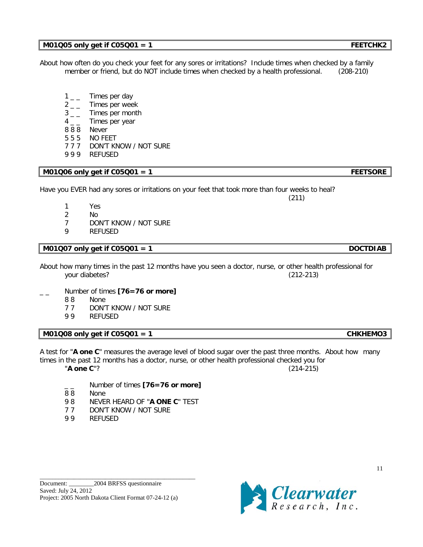## **M01Q05 only get if C05Q01 = 1 FEETCHK2**

About how often do you check your feet for any sores or irritations? Include times when checked by a family member or friend, but do NOT include times when checked by a health professional. (208-210)

- $1_{--}$  Times per day
- 2<sub>-</sub>Times per week
- 3<sub>--</sub> Times per month
- $4 -$  Times per year
- 8 8 8 Never
- 5 5 5 NO FEET
- 7 7 7 DON'T KNOW / NOT SURE
- 9 9 9 REFUSED

## **M01Q06 only get if C05Q01 = 1**  $\blacksquare$

| Have you EVER had any sores or irritations on your feet that took more than four weeks to heal? |  |  |  |  |
|-------------------------------------------------------------------------------------------------|--|--|--|--|
|-------------------------------------------------------------------------------------------------|--|--|--|--|

- 1 Yes
- 2 No
- 7 DON'T KNOW / NOT SURE
- 9 REFUSED

## **M01Q07 only get if C05Q01 = 1 DOCTDIAB**

About how many times in the past 12 months have you seen a doctor, nurse, or other health professional for your diabetes? (212-213)

## \_ \_ Number of times **[76=76 or more]**

- 8 8 None
- 7 7 DON'T KNOW / NOT SURE
- 9 9 REFUSED

## **M01Q08 only get if C05Q01 = 1 CHKHEMO3**

A test for "**A one C**" measures the average level of blood sugar over the past three months. About how many times in the past 12 months has a doctor, nurse, or other health professional checked you for "**A one C**"? (214-215)

- \_ \_ Number of times **[76=76 or more]**
- None
- 9 8 NEVER HEARD OF "**A ONE C**" TEST
- 7 7 DON'T KNOW / NOT SURE
- 9 9 REFUSED



(211)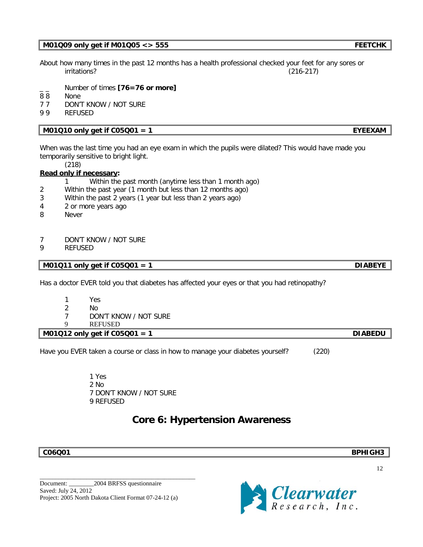## **M01Q09 only get if M01Q05 <> 555 FEETCHK**

About how many times in the past 12 months has a health professional checked your feet for any sores or irritations? (216-217)

- Number of times **[76=76 or more]**
- 8 8 None
- 7 7 DON'T KNOW / NOT SURE
- 9 9 REFUSED

## **M01Q10 only get if C05Q01 = 1** EYEEXAM

When was the last time you had an eye exam in which the pupils were dilated? This would have made you temporarily sensitive to bright light.

(218)

## **Read only if necessary :**

- 1 Within the past month (anytime less than 1 month ago)
- 2 Within the past year (1 month but less than 12 months ago)
- 3 Within the past 2 years (1 year but less than 2 years ago)
- 4 2 or more years ago
- 8 Never

## 7 DON'T KNOW / NOT SURE

9 REFUSED

**M01Q11 only get if C05Q01 = 1** DIABEYE

Has a doctor EVER told you that diabetes has affected your eyes or that you had retinopathy?

- 1 Yes
- 2 No
- 7 DON'T KNOW / NOT SURE
- 9 REFUSED

**M01Q12 only get if C05Q01 = 1 DIABEDU**

Have you EVER taken a course or class in how to manage your diabetes yourself? (220)

1 Yes 2 No 7 DON'T KNOW / NOT SURE 9 REFUSED

## **Core 6: Hypertension Awareness**

\_\_\_\_\_\_\_\_\_\_\_\_\_\_\_\_\_\_\_\_\_\_\_\_\_\_\_\_\_\_\_\_\_\_\_\_\_\_\_\_\_\_\_\_\_\_\_\_\_\_



**C06Q01 BPHIGH3**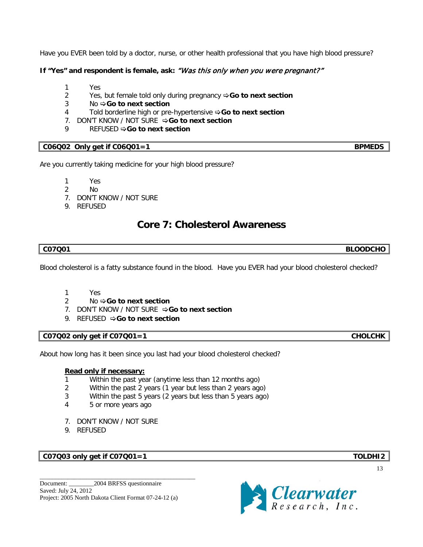Have you EVER been told by a doctor, nurse, or other health professional that you have high blood pressure?

## **If "Yes" and respondent is female, ask:** "Was this only when you were pregnant?"

- 1 Yes
- 2 Yes, but female told only during pregnancy **⇒Go to next section**
- 3 No **Go to next section**
- 4 Told borderline high or pre-hypertensive **Go to next section**
- 7. DON'T KNOW / NOT SURE **⇒Go to next section**
- 9 REFUSED  $\Rightarrow$  **Go to next section**

## **C06Q02** Only get if C06Q01=1 **BPMEDS**

Are you currently taking medicine for your high blood pressure?

- 1 Yes
- 2 No
- 7. DON'T KNOW / NOT SURE
- 9. REFUSED

# **Core 7: Cholesterol Awareness**

## **C07Q01 BLOODCHO**

Blood cholesterol is a fatty substance found in the blood. Have you EVER had your blood cholesterol checked?

- 1 Yes
- 2 No  $\div$  **Go to next section**
- 7. DON'T KNOW / NOT SURE **⇒Go to next section**
- 9. REFUSED  $\Rightarrow$  **Go to next section**

## C07Q02 only get if C07Q01=1 CHOLCHK

About how long has it been since you last had your blood cholesterol checked?

## **Read only if necessary:**

- 1 Within the past year (anytime less than 12 months ago)
- 2 Within the past 2 years (1 year but less than 2 years ago)
- 3 Within the past 5 years (2 years but less than 5 years ago)
- 4 5 or more years ago
- 7. DON'T KNOW / NOT SURE
- 9. REFUSED

## **C07Q03 only get if C07Q01=1 TOLDHI2**

Document: 2004 BRFSS questionnaire Saved: July 24, 2012 Project: 2005 North Dakota Client Format 07-24-12 (a)

\_\_\_\_\_\_\_\_\_\_\_\_\_\_\_\_\_\_\_\_\_\_\_\_\_\_\_\_\_\_\_\_\_\_\_\_\_\_\_\_\_\_\_\_\_\_\_\_\_\_

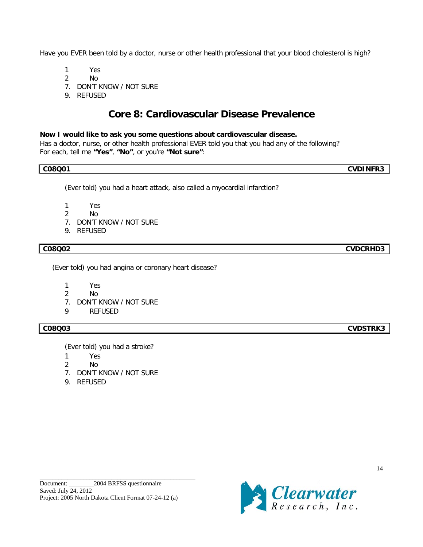Have you EVER been told by a doctor, nurse or other health professional that your blood cholesterol is high?

1 Yes

2 No

7. DON'T KNOW / NOT SURE

9. REFUSED

# **Core 8: Cardiovascular Disease Prevalence**

## **Now I would like to ask you some questions about cardiovascular disease.**

Has a doctor, nurse, or other health professional EVER told you that you had any of the following? For each, tell me **"Yes"**, **"No"**, or you're **"Not sure"**:

## **C08Q01 CVDINFR3**

(Ever told) you had a heart attack, also called a myocardial infarction?

- 1 Yes
- 2 No
- 7. DON'T KNOW / NOT SURE
- 9. REFUSED

(Ever told) you had angina or coronary heart disease?

- 1 Yes
- 2 No
- 7. DON'T KNOW / NOT SURE
- 9 REFUSED

(Ever told) you had a stroke?

- 1 Yes
- 2 No
- 7. DON'T KNOW / NOT SURE
- 9. REFUSED

\_\_\_\_\_\_\_\_\_\_\_\_\_\_\_\_\_\_\_\_\_\_\_\_\_\_\_\_\_\_\_\_\_\_\_\_\_\_\_\_\_\_\_\_\_\_\_\_\_\_



14

**C08Q03 CVDSTRK3**

**C08Q02 CVDCRHD3**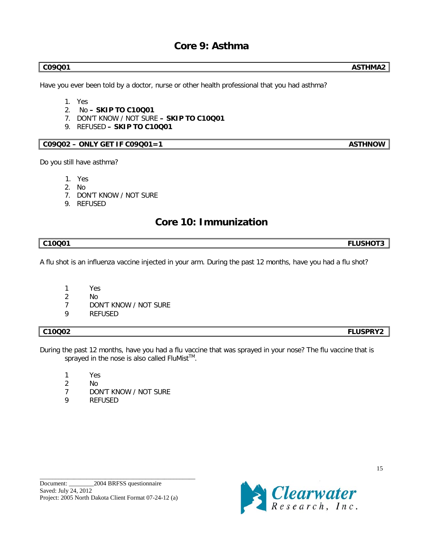# **Core 9: Asthma**

Have you ever been told by a doctor, nurse or other health professional that you had asthma?

- 1. Yes
- 2. No **– SKIP TO C10Q01**
- 7. DON'T KNOW / NOT SURE **– SKIP TO C10Q01**
- 9. REFUSED **– SKIP TO C10Q01**

## **C09Q02 – ONLY GET IF C09Q01=1 ASTHNOW**

Do you still have asthma?

- 1. Yes
- 2. No
- 7. DON'T KNOW / NOT SURE
- 9. REFUSED

## **Core 10: Immunization**

## **C10Q01 FLUSHOT3**

A flu shot is an influenza vaccine injected in your arm. During the past 12 months, have you had a flu shot?

- 1 Yes
- 2 No
- 7 DON'T KNOW / NOT SURE
- 9 REFUSED

## **C10Q02 FLUSPRY2**

- During the past 12 months, have you had a flu vaccine that was sprayed in your nose? The flu vaccine that is sprayed in the nose is also called  $FluMist^{TM}$ .
	- 1 Yes
	- 2 No
	- 7 DON'T KNOW / NOT SURE
	- 9 REFUSED

\_\_\_\_\_\_\_\_\_\_\_\_\_\_\_\_\_\_\_\_\_\_\_\_\_\_\_\_\_\_\_\_\_\_\_\_\_\_\_\_\_\_\_\_\_\_\_\_\_\_



**C09Q01 ASTHMA2**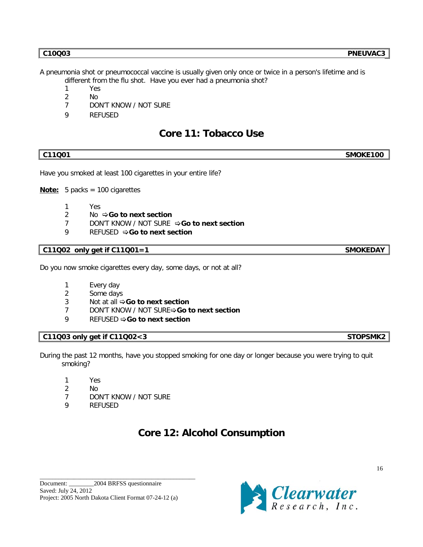- 1 Yes
- 2 No
- 7 DON'T KNOW / NOT SURE
- 9 REFUSED

# **Core 11: Tobacco Use**

# **C11Q01 SMOKE100**

Have you smoked at least 100 cigarettes in your entire life?

**Note:** 5 packs = 100 cigarettes

- 1 Yes
- 2 No  $\Rightarrow$  **Go to next section**
- 7 DON'T KNOW / NOT SURE **Go to next section**
- 9 REFUSED  $\Rightarrow$  **Go to next section**

## **C11Q02 only get if C11Q01=1 SMOKEDAY**

Do you now smoke cigarettes every day, some days, or not at all?

- 1 Every day
- 2 Some days
- 3 Not at all  $\triangle$  **Go to next section**
- 7 DON'T KNOW / NOT SURE**⇒Go to next section**
- 9 REFUSED  $\Rightarrow$  **Go to next section**

## **C11Q03 only get if C11Q02<3 STOPSMK2**

During the past 12 months, have you stopped smoking for one day or longer because you were trying to quit smoking?

- 1 Yes
- 2 No
- 7 DON'T KNOW / NOT SURE
- 9 REFUSED

# **Core 12: Alcohol Consumption**

\_\_\_\_\_\_\_\_\_\_\_\_\_\_\_\_\_\_\_\_\_\_\_\_\_\_\_\_\_\_\_\_\_\_\_\_\_\_\_\_\_\_\_\_\_\_\_\_\_\_

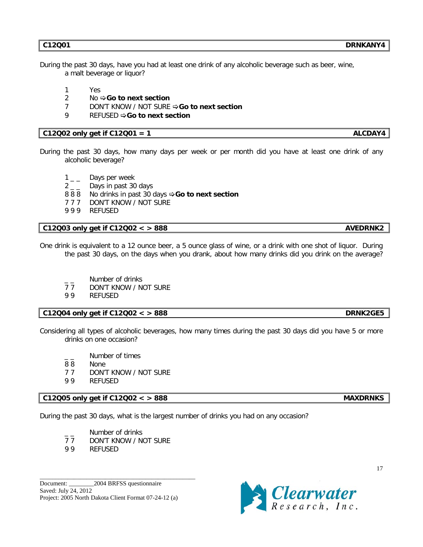During the past 30 days, have you had at least one drink of any alcoholic beverage such as beer, wine, a malt beverage or liquor?

- 1 Yes
- 2 No  $\div$  **Go to next section**
- 7 DON'T KNOW / NOT SURE **Go to next section**
- 9 REFUSED  $\Rightarrow$  **Go to next section**

## **C12Q02 only get if C12Q01 = 1 ALCDAY4**

- During the past 30 days, how many days per week or per month did you have at least one drink of any alcoholic beverage?
	- $1\_\_$  Days per week
	- $2<sub>-</sub>$  Days in past 30 days
	- 8 8 8 No drinks in past 30 days  $\div$  **Go to next section**
	- 7 7 7 DON'T KNOW / NOT SURE
	- 9 9 9 REFUSED

## **C12Q03 only get if C12Q02 < > 888 AVEDRNK2**

One drink is equivalent to a 12 ounce beer, a 5 ounce glass of wine, or a drink with one shot of liquor. During the past 30 days, on the days when you drank, about how many drinks did you drink on the average?

- $\frac{1}{7}$  Number of drinks<br>77 DON'T KNOW / N
- DON'T KNOW / NOT SURE
- 9 9 REFUSED

## **C12Q04 only get if C12Q02 < > 888 DRNK2GE5**

Considering all types of alcoholic beverages, how many times during the past 30 days did you have 5 or more drinks on one occasion?

- Number of times
- 8 8 None
- 7 7 DON'T KNOW / NOT SURE
- 9 9 REFUSED

## **C12Q05 only get if C12Q02 < > 888 MAXDRNKS**

During the past 30 days, what is the largest number of drinks you had on any occasion?

- Number of drinks<br>77 DON'T KNOW / N
- DON'T KNOW / NOT SURE

\_\_\_\_\_\_\_\_\_\_\_\_\_\_\_\_\_\_\_\_\_\_\_\_\_\_\_\_\_\_\_\_\_\_\_\_\_\_\_\_\_\_\_\_\_\_\_\_\_\_

9 9 REFUSED

Document: 2004 BRFSS questionnaire Saved: July 24, 2012 Project: 2005 North Dakota Client Format 07-24-12 (a)

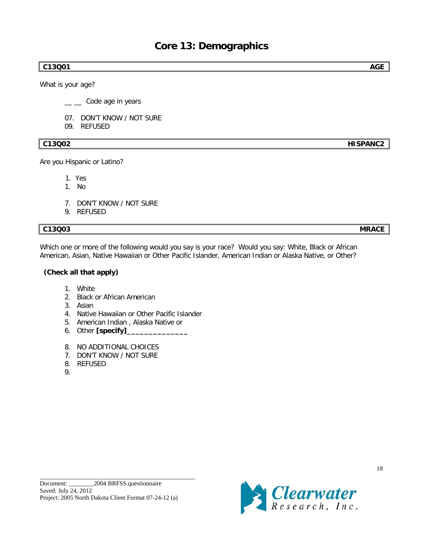## **C13Q01 AGE**

What is your age?

 $\frac{1}{2}$  Code age in years

- 07. DON'T KNOW / NOT SURE
- 09. REFUSED

## **C13Q02 HISPANC2**

Are you Hispanic or Latino?

1. Yes

- 1. No
- 7. DON'T KNOW / NOT SURE
- 9. REFUSED

## **C13Q03 MRACE**

Which one or more of the following would you say is your race? Would you say: White, Black or African American, Asian, Native Hawaiian or Other Pacific Islander, American Indian or Alaska Native, or Other?

## **(Check all that apply)**

- 1. White
- 2. Black or African American
- 3. Asian
- 4. Native Hawaiian or Other Pacific Islander
- 5. American Indian , Alaska Native or
- 6. Other **[specify]\_\_\_\_\_\_\_\_\_\_\_\_\_\_**
- 8. NO ADDITIONAL CHOICES
- 7. DON'T KNOW / NOT SURE
- 8. REFUSED
- 9.

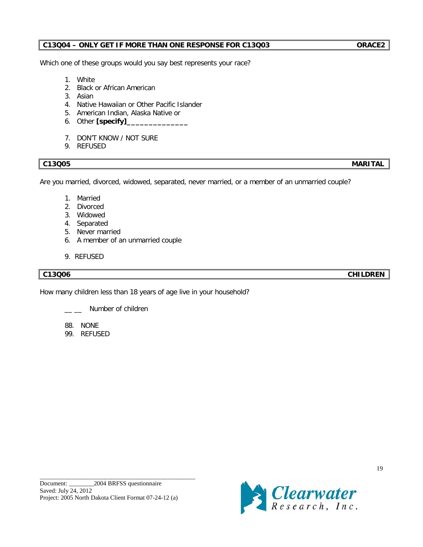## **C13Q04 – ONLY GET IF MORE THAN ONE RESPONSE FOR C13Q03 ORACE2**

Which one of these groups would you say best represents your race?

- 1. White
- 2. Black or African American
- 3. Asian
- 4. Native Hawaiian or Other Pacific Islander
- 5. American Indian, Alaska Native or
- 6. Other **[specify]\_\_\_\_\_\_\_\_\_\_\_\_\_\_**
- 7. DON'T KNOW / NOT SURE
- 9. REFUSED

## **C13Q05 MARITAL**

Are you married, divorced, widowed, separated, never married, or a member of an unmarried couple?

- 1. Married
- 2. Divorced
- 3. Widowed
- 4. Separated
- 5. Never married
- 6. A member of an unmarried couple
- 9. REFUSED

## **C13Q06 CHILDREN**

How many children less than 18 years of age live in your household?

Number of children

- 88. NONE
- 99. REFUSED

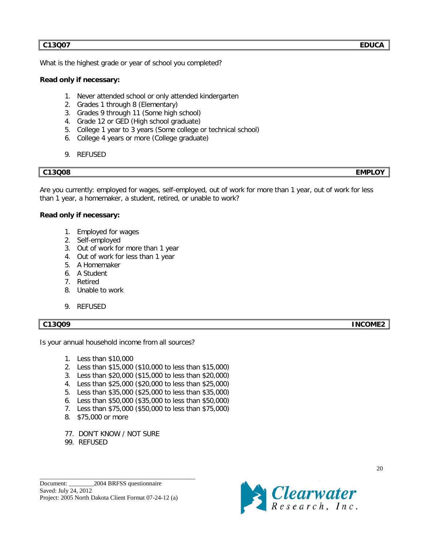## **C13Q07 EDUCA**

What is the highest grade or year of school you completed?

## **Read only if necessary:**

- 1. Never attended school or only attended kindergarten
- 2. Grades 1 through 8 (Elementary)
- 3. Grades 9 through 11 (Some high school)
- 4. Grade 12 or GED (High school graduate)
- 5. College 1 year to 3 years (Some college or technical school)
- 6. College 4 years or more (College graduate)
- 9. REFUSED

## **C13Q08 EMPLOY**

Are you currently: employed for wages, self-employed, out of work for more than 1 year, out of work for less than 1 year, a homemaker, a student, retired, or unable to work?

## **Read only if necessary:**

- 1. Employed for wages
- 2. Self-employed
- 3. Out of work for more than 1 year
- 4. Out of work for less than 1 year
- 5. A Homemaker
- 6. A Student
- 7. Retired
- 8. Unable to work
- 9. REFUSED

## **C13Q09 INCOME2**

Is your annual household income from all sources?

- 1. Less than \$10,000
- 2. Less than \$15,000 (\$10,000 to less than \$15,000)
- 3. Less than \$20,000 (\$15,000 to less than \$20,000)
- 4. Less than \$25,000 (\$20,000 to less than \$25,000)
- 5. Less than \$35,000 (\$25,000 to less than \$35,000)
- 6. Less than \$50,000 (\$35,000 to less than \$50,000)
- 7. Less than \$75,000 (\$50,000 to less than \$75,000)
- 8. \$75,000 or more
- 77. DON'T KNOW / NOT SURE
- 99. REFUSED

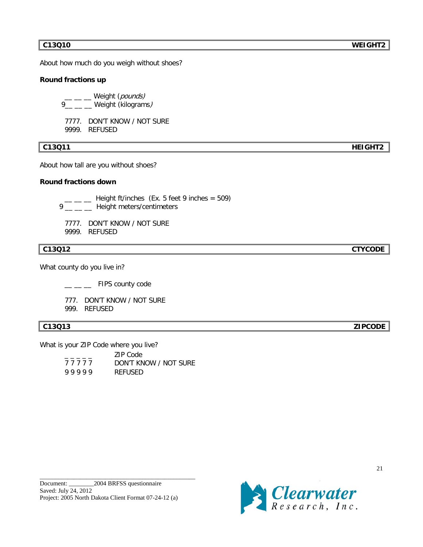About how much do you weigh without shoes?

## **Round fractions up**

\_\_ \_\_ \_\_ Weight (*pounds)* 9\_\_ \_\_ \_\_ Weight (kilograms*)* 

7777. DON'T KNOW / NOT SURE 9999. REFUSED

## **C13Q11 HEIGHT2**

About how tall are you without shoes?

## **Round fractions down**

 $\mu =$   $\mu$  Height ft/inches (Ex. 5 feet 9 inches = 509)

9 \_\_ \_\_ \_\_ Height meters/centimeters

7777. DON'T KNOW / NOT SURE 9999. REFUSED

What county do you live in?

 $\_\_\_\_\_\_\_\$  FIPS county code

777. DON'T KNOW / NOT SURE

999. REFUSED

What is your ZIP Code where you live?

|           | 7IP Code              |
|-----------|-----------------------|
| 7 7 7 7 7 | DON'T KNOW / NOT SURE |
| 99999     | REFUSED               |

\_\_\_\_\_\_\_\_\_\_\_\_\_\_\_\_\_\_\_\_\_\_\_\_\_\_\_\_\_\_\_\_\_\_\_\_\_\_\_\_\_\_\_\_\_\_\_\_\_\_



**C13Q12 CTYCODE**

**C13Q13 ZIPCODE**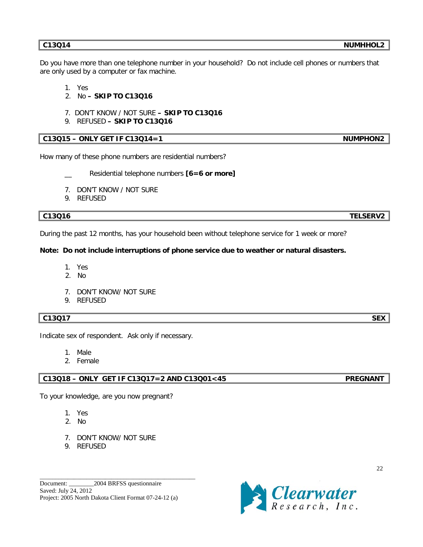Do you have more than one telephone number in your household? Do not include cell phones or numbers that are only used by a computer or fax machine.

1. Yes

- 2. No **– SKIP TO C13Q16**
- 7. DON'T KNOW / NOT SURE **– SKIP TO C13Q16**
- 9. REFUSED **– SKIP TO C13Q16**

## **C13Q15 – ONLY GET IF C13Q14=1 NUMPHON2**

How many of these phone numbers are residential numbers?

- Residential telephone numbers [6=6 or more]
- 7. DON'T KNOW / NOT SURE
- 9. REFUSED

## **C13Q16 TELSERV2**

During the past 12 months, has your household been without telephone service for 1 week or more?

## **Note: Do not include interruptions of phone service due to weather or natural disasters.**

- 1. Yes
- 2. No
- 7. DON'T KNOW/ NOT SURE
- 9. REFUSED

## **C13Q17** SEX

Indicate sex of respondent. Ask only if necessary.

- 1. Male
- 2. Female

## **C13Q18 – ONLY GET IF C13Q17=2 AND C13Q01<45 PREGNANT**

To your knowledge, are you now pregnant?

- 1. Yes
- 2. No
- 7. DON'T KNOW/ NOT SURE
- 9. REFUSED

\_\_\_\_\_\_\_\_\_\_\_\_\_\_\_\_\_\_\_\_\_\_\_\_\_\_\_\_\_\_\_\_\_\_\_\_\_\_\_\_\_\_\_\_\_\_\_\_\_\_

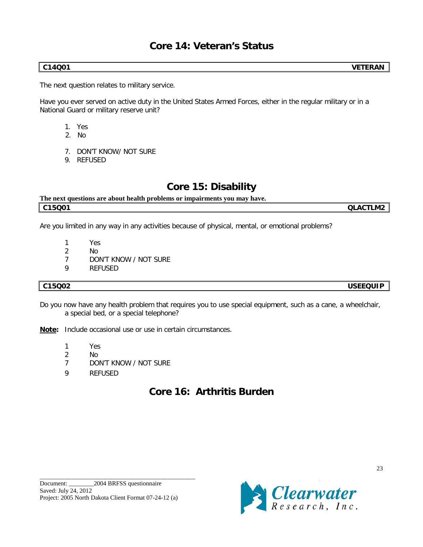# **Core 14: Veteran's Status**

The next question relates to military service.

Have you ever served on active duty in the United States Armed Forces, either in the regular military or in a National Guard or military reserve unit?

- 1. Yes
- 2. No
- 7. DON'T KNOW/ NOT SURE
- 9. REFUSED

## **Core 15: Disability**

## **The next questions are about health problems or impairments you may have. C15Q01 QLACTLM2**

Are you limited in any way in any activities because of physical, mental, or emotional problems?

- 1 Yes
- 2 No
- 7 DON'T KNOW / NOT SURE
- 9 REFUSED

## **C15Q02 USEEQUIP**

Do you now have any health problem that requires you to use special equipment, such as a cane, a wheelchair, a special bed, or a special telephone?

**Note:** Include occasional use or use in certain circumstances.

- 1 Yes
- 2 No
- 7 DON'T KNOW / NOT SURE
- 9 REFUSED

# **Core 16: Arthritis Burden**

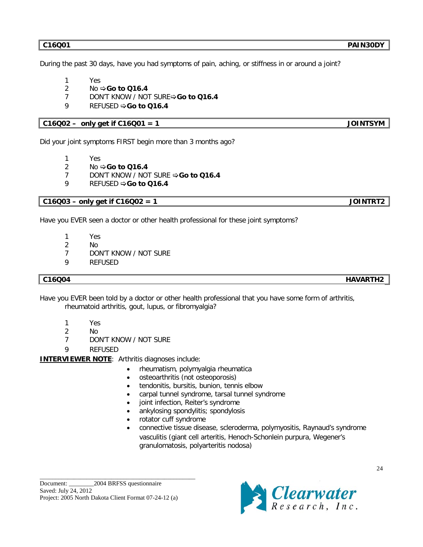During the past 30 days, have you had symptoms of pain, aching, or stiffness in or around a joint?

- 1 Yes
- 2 No  $\Rightarrow$  **Go to Q16.4**
- 7 DON'T KNOW / NOT SURE**Go to Q16.4**
- 9 REFUSED  $\Rightarrow$  **Go to Q16.4**

## **C16Q02 – only get if C16Q01 = 1 JOINTSYM**

Did your joint symptoms FIRST begin more than 3 months ago?

- 1 Yes
- 2 No **Go to Q16.4**
- 7 DON'T KNOW / NOT SURE **⇒Go to Q16.4**
- 9 REFUSED  $\Rightarrow$  **Go to Q16.4**

**C16Q03 – only get if C16Q02 = 1 JOINTRT2**

Have you EVER seen a doctor or other health professional for these joint symptoms?

- 1 Yes
- 2 No
- 7 DON'T KNOW / NOT SURE
- 9 REFUSED

**C16Q04 HAVARTH2**

24

Have you EVER been told by a doctor or other health professional that you have some form of arthritis, rheumatoid arthritis, gout, lupus, or fibromyalgia?

- 1 Yes
- 2 No
- 7 DON'T KNOW / NOT SURE
- 9 REFUSED

**INTERVIEWER NOTE** : Arthritis diagnoses include:

- rheumatism, polymyalgia rheumatica
- osteoarthritis (not osteoporosis)
- tendonitis, bursitis, bunion, tennis elbow
- carpal tunnel syndrome, tarsal tunnel syndrome
- joint infection, Reiter's syndrome
- ankylosing spondylitis; spondylosis
- rotator cuff syndrome
- connective tissue disease, scleroderma, polymyositis, Raynaud's syndrome vasculitis (giant cell arteritis, Henoch-Schonlein purpura, Wegener's granulomatosis, polyarteritis nodosa)

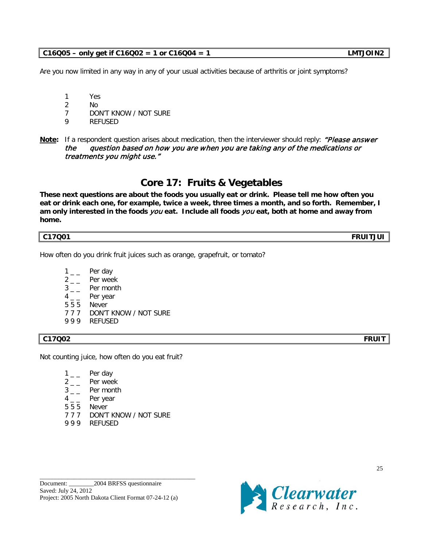# 9 9 9 REFUSED

Not counting juice, how often do you eat fruit?

- $1_{--}$  Per day
- $2 -$  Per week
- $3_{--}$  Per month
- $4 -$  Per year
- 5 5 5 Never
- 7 7 7 DON'T KNOW / NOT SURE
- 9 9 9 REFUSED

\_\_\_\_\_\_\_\_\_\_\_\_\_\_\_\_\_\_\_\_\_\_\_\_\_\_\_\_\_\_\_\_\_\_\_\_\_\_\_\_\_\_\_\_\_\_\_\_\_\_

Are you now limited in any way in any of your usual activities because of arthritis or joint symptoms?

- 1 Yes
- 2 No
- 7 DON'T KNOW / NOT SURE
- 9 REFUSED
- **Note:** If a respondent question arises about medication, then the interviewer should reply: *"Please answer* the question based on how you are when you are taking any of the medications or treatments you might use."

# **Core 17: Fruits & Vegetables**

**These next questions are about the foods you usually eat or drink. Please tell me how often you eat or drink each one, for example, twice a week, three times a month, and so forth. Remember, I am only interested in the foods** you **eat. Include all foods** you **eat, both at home and away from home.**

## **C17Q01 FRUITJUI**

How often do you drink fruit juices such as orange, grapefruit, or tomato?

- $1_{--}$  Per day
- $2 \quad -$  Per week
- $3_{--}$  Per month
- $4 -$  Per year
- 5 5 5 Never
- 7 7 7 DON'T KNOW / NOT SURE

## **C17Q02 FRUIT**

Clearwater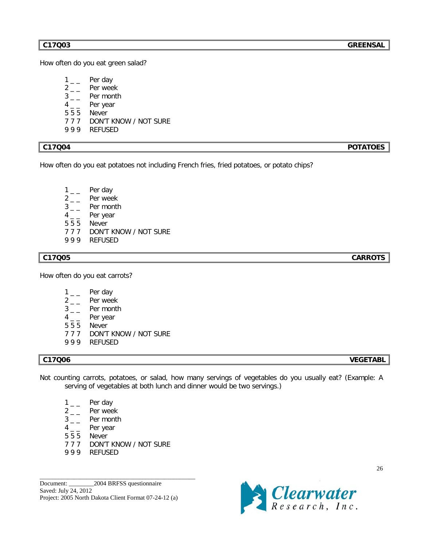How often do you eat green salad?

- $1 \quad \quad$  Per day
- $2_{--}$  Per week
- $3_{--}$  Per month
- $4_{--}$  Per year<br> $555$  Never
- **Never**
- 7 7 7 DON'T KNOW / NOT SURE
- 9 9 9 REFUSED

How often do you eat potatoes not including French fries, fried potatoes, or potato chips?

- $1\_\_$  Per day
- $2 -$  Per week
- $3 -$  Per month
- $4 -$  Per year
- 5 5 5 Never
- 7 7 7 DON'T KNOW / NOT SURE
- 9 9 9 REFUSED

## **C17Q05 CARROTS**

How often do you eat carrots?

- $1_{--}$  Per day
- $2 \quad \quad$  Per week
- $3 -$  Per month
- $4 -$  Per year
- 5 5 5 Never
- 7 7 7 DON'T KNOW / NOT SURE
- 9 9 9 REFUSED

## **C17Q06 VEGETABL**

26

- Not counting carrots, potatoes, or salad, how many servings of vegetables do you usually eat? (Example: A serving of vegetables at both lunch and dinner would be two servings.)
	- $1_{-}$  Per day
	- $2 \quad \quad$  Per week
	- $3 -$  Per month<br>4 Per year
	- Per year
	- 5 5 5 Never
	- 7 7 7 DON'T KNOW / NOT SURE

\_\_\_\_\_\_\_\_\_\_\_\_\_\_\_\_\_\_\_\_\_\_\_\_\_\_\_\_\_\_\_\_\_\_\_\_\_\_\_\_\_\_\_\_\_\_\_\_\_\_

9 9 9 REFUSED

Document: 2004 BRFSS questionnaire Saved: July 24, 2012 Project: 2005 North Dakota Client Format 07-24-12 (a)

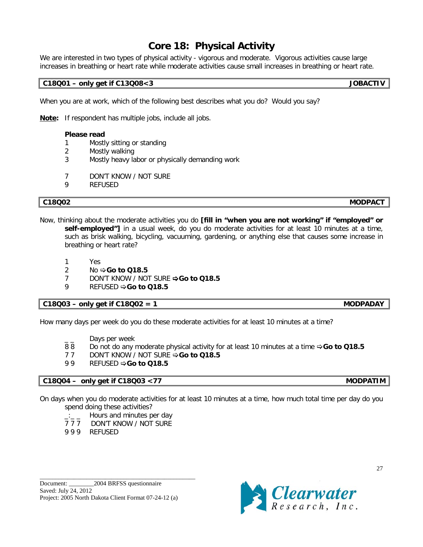# **Core 18: Physical Activity**

We are interested in two types of physical activity - vigorous and moderate. Vigorous activities cause large increases in breathing or heart rate while moderate activities cause small increases in breathing or heart rate.

## **C18Q01 – only get if C13Q08<3 JOBACTIV**

When you are at work, which of the following best describes what you do? Would you say?

**Note:** If respondent has multiple jobs, include all jobs.

## **Please read**

- 1 Mostly sitting or standing
- 2 Mostly walking
- 3 Mostly heavy labor or physically demanding work
- 7 DON'T KNOW / NOT SURE
- 9 REFUSED

**C18Q02 MODPACT**

- Now, thinking about the moderate activities you do **[fill in "when you are not working" if "employed" or**  self-employed"] in a usual week, do you do moderate activities for at least 10 minutes at a time, such as brisk walking, bicycling, vacuuming, gardening, or anything else that causes some increase in breathing or heart rate?
	- 1 Yes
	- 2 No  $\div$  **Go to Q18.5**
	- 7 DON'T KNOW / NOT SURE **⇒Go to Q18.5**
	- 9 REFUSED  $\Rightarrow$  **Go to Q18.5**

## **C18Q03 – only get if C18Q02 = 1 MODPADAY**

How many days per week do you do these moderate activities for at least 10 minutes at a time?

- Days per week
- 88 Do not do any moderate physical activity for at least 10 minutes at a time **⇒Go to Q18.5**
- 7 7 DON'T KNOW / NOT SURE **⇒Go to Q18.5**
- 99 REFUSED  $\Rightarrow$  **Go to Q18.5**

## **C18Q04 – only get if C18Q03 <77 MODPATIM**

On days when you do moderate activities for at least 10 minutes at a time, how much total time per day do you spend doing these activities?

- $\Box$   $\Box$  Hours and minutes per day
- 7 7 7 DON'T KNOW / NOT SURE
- 9 9 9 REFUSED

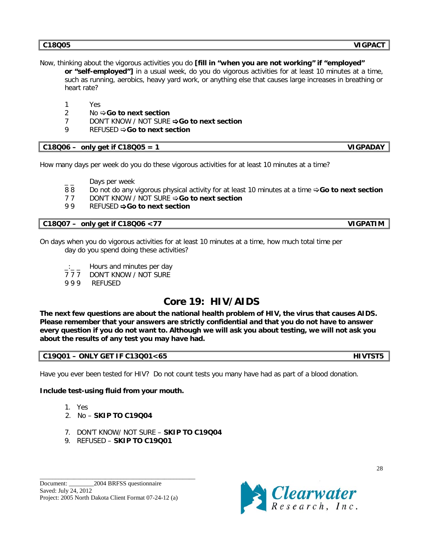Now, thinking about the vigorous activities you do **[fill in "when you are not working" if "employed"** 

**or "self-employed"]** in a usual week, do you do vigorous activities for at least 10 minutes at a time, such as running, aerobics, heavy yard work, or anything else that causes large increases in breathing or heart rate?

- 1 Yes
- 2 No  $\div$  **Go to next section**
- 7 DON'T KNOW / NOT SURE **Go to next section**
- 9 REFUSED  $\Rightarrow$  **Go to next section**

## **C18Q06 – only get if C18Q05 = 1 VIGPADAY**

How many days per week do you do these vigorous activities for at least 10 minutes at a time?

Days per week

- 8 8 Do not do any vigorous physical activity for at least 10 minutes at a time **Go to next section**
- 7 7 DON'T KNOW / NOT SURE **Go to next section**
- 99 REFUSED  $\Rightarrow$  **Go to next section**

## **C18Q07 – only get if C18Q06 <77 VIGPATIM**

On days when you do vigorous activities for at least 10 minutes at a time, how much total time per day do you spend doing these activities?

- Hours and minutes per day
- 7 7 7 DON'T KNOW / NOT SURE
- 9 9 9 REFUSED

# **Core 19: HIV/AIDS**

**The next few questions are about the national health problem of HIV, the virus that causes AIDS. Please remember that your answers are strictly confidential and that you do not have to answer every question if you do not want to. Although we will ask you about testing, we will not ask you about the results of any test you may have had.**

## **C19Q01 – ONLY GET IF C13Q01<65 HIVTST5**

Have you ever been tested for HIV? Do not count tests you many have had as part of a blood donation.

## **Include test-using fluid from your mouth.**

- 1. Yes
- 2. No **SKIP TO C19Q04**
- 7. DON'T KNOW/ NOT SURE **SKIP TO C19Q04**
- 9. REFUSED **SKIP TO C19Q01**

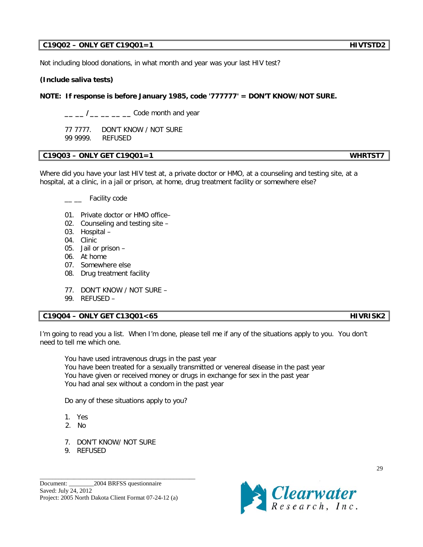## **C19Q02 – ONLY GET C19Q01=1 HIVTSTD2**

Not including blood donations, in what month and year was your last HIV test?

## **(Include saliva tests)**

## **NOTE: If response is before January 1985, code '777777' = DON'T KNOW/NOT SURE.**

**\_\_ \_\_ /\_\_ \_\_ \_\_ \_\_** Code month and year

77 7777.DON'T KNOW / NOT SURE 99 9999. REFUSED

## **C19Q03 – ONLY GET C19Q01=1 WHRTST7**

Where did you have your last HIV test at, a private doctor or HMO, at a counseling and testing site, at a hospital, at a clinic, in a jail or prison, at home, drug treatment facility or somewhere else?

\_\_ Facility code

- 01. Private doctor or HMO office–
- 02. Counseling and testing site –
- 03. Hospital –
- 04. Clinic
- 05. Jail or prison –
- 06. At home
- 07. Somewhere else
- 08. Drug treatment facility
- 77. DON'T KNOW / NOT SURE –
- 99. REFUSED –

## **C19Q04 – ONLY GET C13Q01<65 HIVRISK2**

I'm going to read you a list. When I'm done, please tell me if any of the situations apply to you. You don't need to tell me which one.

You have used intravenous drugs in the past year You have been treated for a sexually transmitted or venereal disease in the past year You have given or received money or drugs in exchange for sex in the past year You had anal sex without a condom in the past year

Do any of these situations apply to you?

- 1. Yes
- 2. No
- 7. DON'T KNOW/ NOT SURE
- 9. REFUSED

\_\_\_\_\_\_\_\_\_\_\_\_\_\_\_\_\_\_\_\_\_\_\_\_\_\_\_\_\_\_\_\_\_\_\_\_\_\_\_\_\_\_\_\_\_\_\_\_\_\_

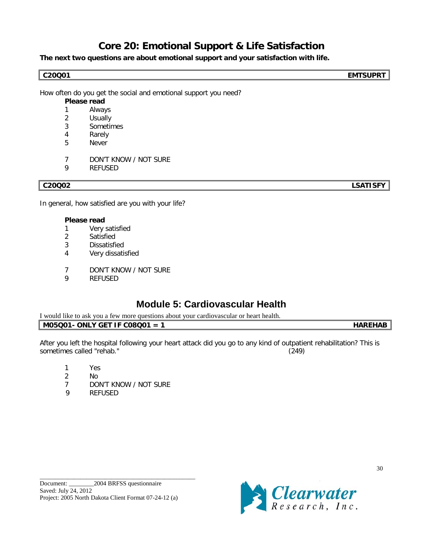# **Core 20: Emotional Support & Life Satisfaction**

**The next two questions are about emotional support and your satisfaction with life.**

**C20Q01 EMTSUPRT**

How often do you get the social and emotional support you need?

## **Please read**

- 1 Always
- 2 Usually
- 3 Sometimes
- 4 Rarely
- 5 Never
- 7 DON'T KNOW / NOT SURE
- 9 REFUSED

**C20Q02 LSATISFY**

In general, how satisfied are you with your life?

## **Please read**

- 1 Very satisfied
- 2 Satisfied
- 3 Dissatisfied
- 4 Very dissatisfied
- 7 DON'T KNOW / NOT SURE<br>9 REFLISED
- **REFUSED**

# **Module 5: Cardiovascular Health**

| $\cdots$<br>l would<br>k vou a few more questions<br>s about vour cardiovascular or heart health.<br>. like to ask |  |
|--------------------------------------------------------------------------------------------------------------------|--|
| ONLY GET IF C08001<br>M05C<br>-                                                                                    |  |

After you left the hospital following your heart attack did you go to any kind of outpatient rehabilitation? This is sometimes called "rehab." (249)

- 1 Yes
- 2 No
- 7 DON'T KNOW / NOT SURE
- 9 REFUSED

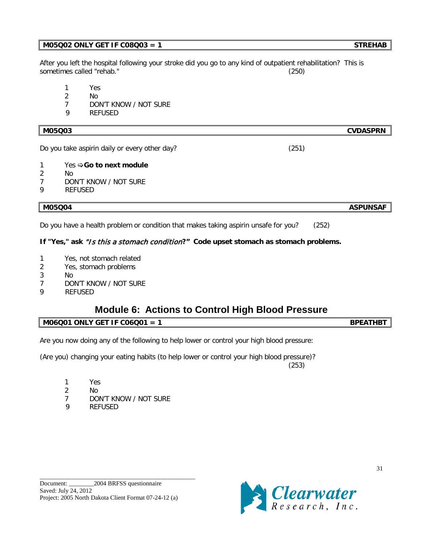## **M05Q02 ONLY GET IF C08Q03 = 1** STREHAB

After you left the hospital following your stroke did you go to any kind of outpatient rehabilitation? This is sometimes called "rehab." (250)

- 1 Yes
- 2 No
- 7 DON'T KNOW / NOT SURE
- 9 REFUSED

## **M05Q03 CVDASPRN**

Do you take aspirin daily or every other day? (251)

- 1 Yes  $\Rightarrow$  **Go to next module**
- 2 No
- 7 DON'T KNOW / NOT SURE
- 9 REFUSED

Do you have a health problem or condition that makes taking aspirin unsafe for you? (252)

## **If "Yes," ask** "Is this a stomach condition**?" Code upset stomach as stomach problems.**

- 1 Yes, not stomach related
- 2 Yes, stomach problems
- 3 No
- 7 DON'T KNOW / NOT SURE
- 9 REFUSED

# **Module 6: Actions to Control High Blood Pressure**

## **M06Q01 ONLY GET IF C06Q01 = 1** BPEATHBT

Are you now doing any of the following to help lower or control your high blood pressure:

(Are you) changing your eating habits (to help lower or control your high blood pressure)? (253)

- 1 Yes
- 2 No
- 7 DON'T KNOW / NOT SURE
- 9 REFUSED

\_\_\_\_\_\_\_\_\_\_\_\_\_\_\_\_\_\_\_\_\_\_\_\_\_\_\_\_\_\_\_\_\_\_\_\_\_\_\_\_\_\_\_\_\_\_\_\_\_\_



**M05Q04 ASPUNSAF**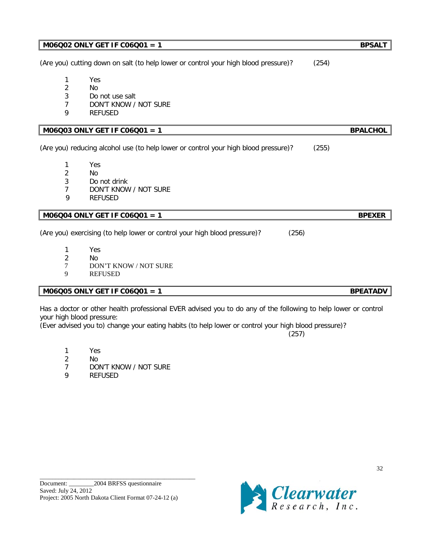|                | (Are you) cutting down on salt (to help lower or control your high blood pressure)? | (254)           |
|----------------|-------------------------------------------------------------------------------------|-----------------|
| 1              | Yes                                                                                 |                 |
| $\overline{2}$ | N <sub>0</sub>                                                                      |                 |
| 3              | Do not use salt                                                                     |                 |
| 7              | DON'T KNOW / NOT SURE                                                               |                 |
| 9              | <b>REFUSED</b>                                                                      |                 |
|                | M06Q03 ONLY GET IF C06Q01 = 1                                                       | <b>BPALCHOL</b> |
|                | (Are you) reducing alcohol use (to help lower or control your high blood pressure)? | (255)           |
| 1              | Yes                                                                                 |                 |
| $\overline{2}$ | <b>No</b>                                                                           |                 |
| 3              | Do not drink                                                                        |                 |
| 7              | DON'T KNOW / NOT SURE                                                               |                 |
| 9              | <b>REFUSED</b>                                                                      |                 |
|                | M06Q04 ONLY GET IF C06Q01 = 1                                                       | <b>BPEXER</b>   |
|                | (Are you) exercising (to help lower or control your high blood pressure)?<br>(256)  |                 |
| 1              | Yes                                                                                 |                 |
| $\overline{2}$ | No                                                                                  |                 |
| 7              | <b>DON'T KNOW / NOT SURE</b>                                                        |                 |
| 9              | <b>REFUSED</b>                                                                      |                 |
|                | M06Q05 ONLY GET IF C06Q01 = 1                                                       | <b>BPEATADV</b> |

**M06Q02 ONLY GET IF C06Q01 = 1** BPSALT

Has a doctor or other health professional EVER advised you to do any of the following to help lower or control your high blood pressure:

(Ever advised you to) change your eating habits (to help lower or control your high blood pressure)?

- 1 Yes
- 2 No
- 7 DON'T KNOW / NOT SURE
- 9 REFUSED

\_\_\_\_\_\_\_\_\_\_\_\_\_\_\_\_\_\_\_\_\_\_\_\_\_\_\_\_\_\_\_\_\_\_\_\_\_\_\_\_\_\_\_\_\_\_\_\_\_\_



(257)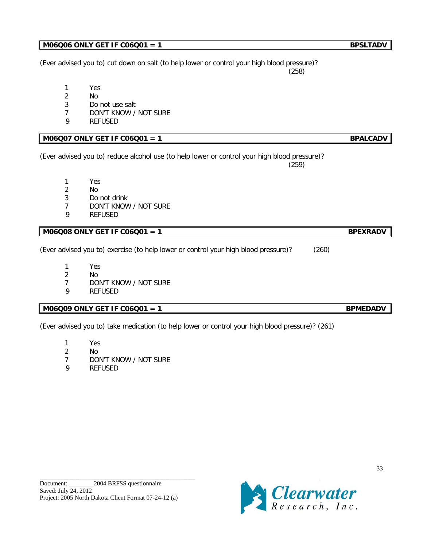\_\_\_\_\_\_\_\_\_\_\_\_\_\_\_\_\_\_\_\_\_\_\_\_\_\_\_\_\_\_\_\_\_\_\_\_\_\_\_\_\_\_\_\_\_\_\_\_\_\_

33

## **M06Q06 ONLY GET IF C06Q01 = 1** BPSLTADV

(Ever advised you to) cut down on salt (to help lower or control your high blood pressure)? (258)

- 1 Yes
- 2 No
- 3 Do not use salt
- 7 DON'T KNOW / NOT SURE
- 9 REFUSED

## **M06Q07 ONLY GET IF C06Q01 = 1** BPALCADV

(Ever advised you to) reduce alcohol use (to help lower or control your high blood pressure)? (259)

- 1 Yes 2 No
- 3 Do not drink
- 7 DON'T KNOW / NOT SURE
- 9 REFUSED

## **M06Q08 ONLY GET IF C06Q01 = 1** BPEXRADV

(Ever advised you to) exercise (to help lower or control your high blood pressure)? (260)

- 1 Yes
- 2 No
- 7 DON'T KNOW / NOT SURE
- 9 REFUSED

## **M06Q09 ONLY GET IF C06Q01 = 1** BPMEDADV

(Ever advised you to) take medication (to help lower or control your high blood pressure)? (261)

- 1 Yes
- 2 No
- 7 DON'T KNOW / NOT SURE
- 9 REFUSED

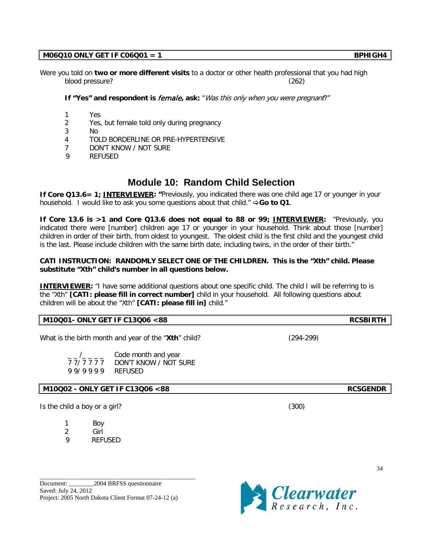## $M06Q10$  ONLY GET IF  $CO6Q01 = 1$

Were you told on **two or more different visits** to a doctor or other health professional that you had high blood pressure? (262)

**If "Yes" and respondent is** female**, ask:** "Was this only when you were pregnant?"

- 1 Yes
- 2 Yes, but female told only during pregnancy
- 3 No
- 4 TOLD BORDERLINE OR PRE-HYPERTENSIVE
- 7 DON'T KNOW / NOT SURE
- 9 REFUSED

## **Module 10: Random Child Selection**

**If Core Q13.6= 1; INTERVIEWER: "**Previously, you indicated there was one child age 17 or younger in your household. I would like to ask you some questions about that child."  $\Rightarrow$  **Go to Q1**.

**If Core 13.6 is >1 and Core Q13.6 does not equal to 88 or 99; INTERVIEWER:** "Previously, you indicated there were [number] children age 17 or younger in your household. Think about those [number] children in order of their birth, from oldest to youngest. The oldest child is the first child and the youngest child is the last. Please include children with the same birth date, including twins, in the order of their birth."

## **CATI INSTRUCTION: RANDOMLY SELECT ONE OF THE CHILDREN. This is the "Xth" child. Please substitute "Xth" child's number in all questions below.**

**INTERVIEWER:** "I have some additional questions about one specific child. The child I will be referring to is the "Xth" **[CATI: please fill in correct number]** child in your household. All following questions about children will be about the "Xth" **[CATI: please fill in]** child."

## **M10Q01- ONLY GET IF C13Q06 <88 RCSBIRTH**

What is the birth month and year of the "**Xth**" child? (294-299)

 $_{-}/_{-}$   $_{-}$   $_{-}$  Code month and year 7 7/ 7 7 7 7 DON'T KNOW / NOT SURE 9 9/ 9 9 9 9 REFUSED

**M10Q02 - ONLY GET IF C13Q06 <88 RCSGENDR**

Is the child a boy or a girl? (300)

- 1 Boy
- 2 Girl 9 REFUSED
- \_\_\_\_\_\_\_\_\_\_\_\_\_\_\_\_\_\_\_\_\_\_\_\_\_\_\_\_\_\_\_\_\_\_\_\_\_\_\_\_\_\_\_\_\_\_\_\_\_\_ Document: 2004 BRFSS questionnaire Saved: July 24, 2012 Project: 2005 North Dakota Client Format 07-24-12 (a)

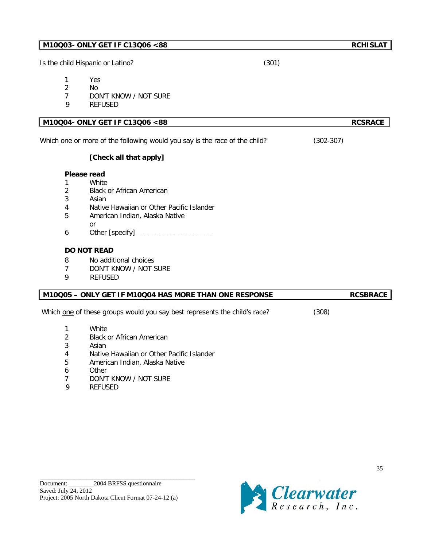| Is the child Hispanic or Latino?                                                   |                                                                                                                                                                                                                                          | (301)         |                 |
|------------------------------------------------------------------------------------|------------------------------------------------------------------------------------------------------------------------------------------------------------------------------------------------------------------------------------------|---------------|-----------------|
| 1<br>$\overline{2}$<br>$\overline{7}$<br>9                                         | Yes<br>No<br>DON'T KNOW / NOT SURE<br><b>REFUSED</b>                                                                                                                                                                                     |               |                 |
|                                                                                    | M10Q04- ONLY GET IF C13Q06 <88                                                                                                                                                                                                           |               | <b>RCSRACE</b>  |
|                                                                                    | Which one or more of the following would you say is the race of the child?                                                                                                                                                               | $(302 - 307)$ |                 |
|                                                                                    | [Check all that apply]                                                                                                                                                                                                                   |               |                 |
| Please read<br>1<br>$\overline{2}$<br>3<br>4<br>5<br>6<br>8<br>$\overline{7}$<br>9 | White<br><b>Black or African American</b><br>Asian<br>Native Hawaiian or Other Pacific Islander<br>American Indian, Alaska Native<br><b>or</b><br><b>DO NOT READ</b><br>No additional choices<br>DON'T KNOW / NOT SURE<br><b>REFUSED</b> |               |                 |
|                                                                                    | M10Q05 - ONLY GET IF M10Q04 HAS MORE THAN ONE RESPONSE                                                                                                                                                                                   |               | <b>RCSBRACE</b> |
|                                                                                    | Which one of these groups would you say best represents the child's race?                                                                                                                                                                | (308)         |                 |
| 1<br>$\overline{2}$<br>3<br>4<br>5<br>6<br>7<br>9                                  | White<br><b>Black or African American</b><br>Asian<br>Native Hawaiian or Other Pacific Islander<br>American Indian, Alaska Native<br>Other<br>DON'T KNOW / NOT SURE<br><b>REFUSED</b>                                                    |               |                 |

**M10Q03- ONLY GET IF C13Q06 <88** RCHISLAT

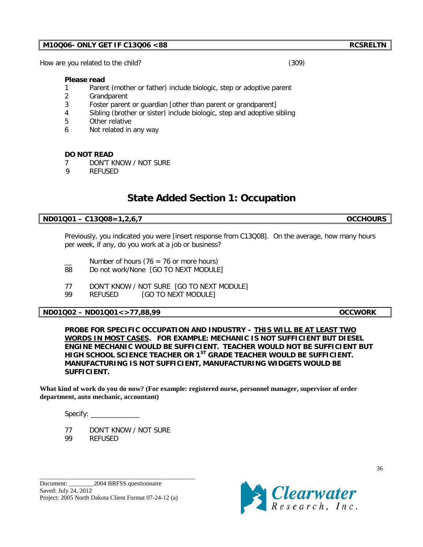How are you related to the child? (309)

### **Please read**

- 1 Parent (mother or father) include biologic, step or adoptive parent
- 2 Grandparent
- 3 Foster parent or guardian [other than parent or grandparent]
- 4 Sibling (brother or sister) include biologic, step and adoptive sibling
- 5 Other relative
- 6 Not related in any way

## **DO NOT READ**

- 7 DON'T KNOW / NOT SURE
- 9 REFUSED

## **State Added Section 1: Occupation**

## **ND01Q01 – C13Q08=1,2,6,7 OCCHOURS**

Previously, you indicated you were [insert response from C13Q08]. On the average, how many hours per week, if any, do you work at a job or business?

- Number of hours (76 = 76 or more hours)
- 88 Do not work/None [GO TO NEXT MODULE]
- 77 DON'T KNOW / NOT SURE [GO TO NEXT MODULE]
- 99 REFUSED [GO TO NEXT MODULE]

## **ND01Q02 – ND01Q01<>77,88,99 OCCWORK**

**PROBE FOR SPECIFIC OCCUPATION AND INDUSTRY – THIS WILL BE AT LEAST TWO WORDS IN MOST CASES. FOR EXAMPLE: MECHANIC IS NOT SUFFICIENT BUT DIESEL ENGINE MECHANIC WOULD BE SUFFICIENT. TEACHER WOULD NOT BE SUFFICIENT BUT HIGH SCHOOL SCIENCE TEACHER OR 1ST GRADE TEACHER WOULD BE SUFFICIENT. MANUFACTURING IS NOT SUFFICIENT, MANUFACTURING WIDGETS WOULD BE SUFFICIENT.** 

**What kind of work do you do now? (For example: registered nurse, personnel manager, supervisor of order department, auto mechanic, accountant)**

Specify: \_\_\_\_\_\_\_\_\_\_\_\_\_

77 DON'T KNOW / NOT SURE 99 REFUSED

\_\_\_\_\_\_\_\_\_\_\_\_\_\_\_\_\_\_\_\_\_\_\_\_\_\_\_\_\_\_\_\_\_\_\_\_\_\_\_\_\_\_\_\_\_\_\_\_\_\_

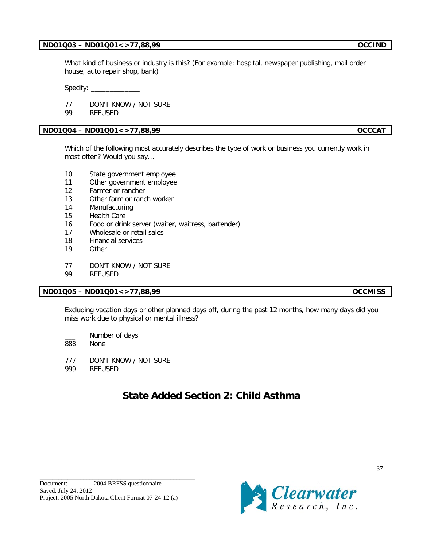## **ND01Q03 – ND01Q01<>77,88,99 OCCIND**

What kind of business or industry is this? (For example: hospital, newspaper publishing, mail order house, auto repair shop, bank)

Specify: \_\_\_\_\_\_\_\_\_\_\_\_\_

77 DON'T KNOW / NOT SURE

99 REFUSED

## **ND01Q04 – ND01Q01<>77,88,99 OCCCAT**

Which of the following most accurately describes the type of work or business you currently work in most often? Would you say…

- 10 State government employee
- 11 Other government employee
- 12 Farmer or rancher
- 13 Other farm or ranch worker
- 14 Manufacturing
- 15 Health Care
- 16 Food or drink server (waiter, waitress, bartender)
- 17 Wholesale or retail sales
- 18 Financial services
- 19 Other
- 77 DON'T KNOW / NOT SURE
- 99 REFUSED

## **ND01Q05 – ND01Q01<>77,88,99 OCCMISS**

Excluding vacation days or other planned days off, during the past 12 months, how many days did you miss work due to physical or mental illness?

Number of days

888 None

777 DON'T KNOW / NOT SURE

999 REFUSED

# **State Added Section 2: Child Asthma**

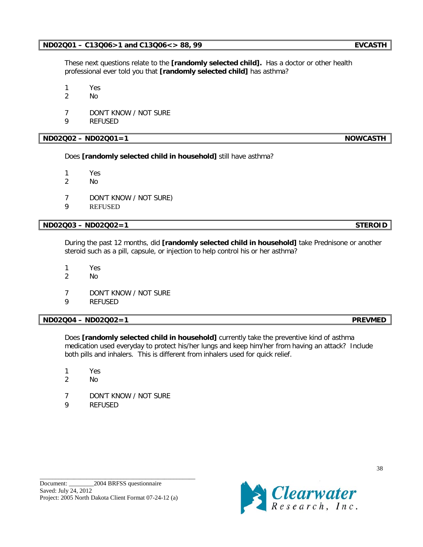\_\_\_\_\_\_\_\_\_\_\_\_\_\_\_\_\_\_\_\_\_\_\_\_\_\_\_\_\_\_\_\_\_\_\_\_\_\_\_\_\_\_\_\_\_\_\_\_\_\_

These next questions relate to the **[randomly selected child].** Has a doctor or other health professional ever told you that **[randomly selected child]** has asthma?

1 Yes

- 2 No
- 7 DON'T KNOW / NOT SURE
- 9 REFUSED

## **ND02Q02 – ND02Q01=1 NOWCASTH**

Does **[randomly selected child in household]** still have asthma?

- 1 Yes
- 2 No
- 7 DON'T KNOW / NOT SURE)
- 9 REFUSED

## **ND02Q03 – ND02Q02=1 STEROID**

During the past 12 months, did **[randomly selected child in household]** take Prednisone or another steroid such as a pill, capsule, or injection to help control his or her asthma?

- 1 Yes
- 2 No
- 7 DON'T KNOW / NOT SURE
- 9 REFUSED

**ND02Q04 – ND02Q02=1 PREVMED**

Does **[randomly selected child in household]** currently take the preventive kind of asthma medication used everyday to protect his/her lungs and keep him/her from having an attack? Include both pills and inhalers. This is different from inhalers used for quick relief.

- 1 Yes
- 2 No
- 7 DON'T KNOW / NOT SURE
- 9 REFUSED

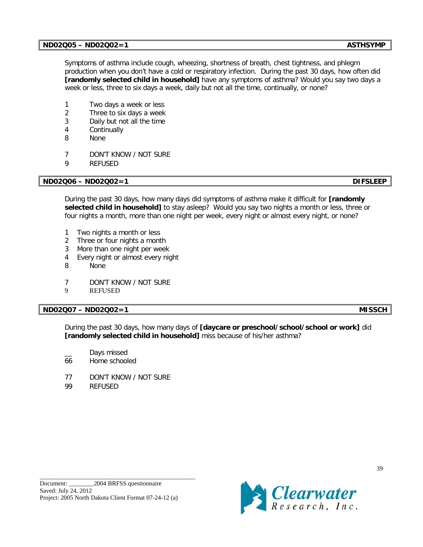## **ND02Q05 – ND02Q02=1** ASTHSYMP

Symptoms of asthma include cough, wheezing, shortness of breath, chest tightness, and phlegm production when you don't have a cold or respiratory infection. During the past 30 days, how often did **[randomly selected child in household]** have any symptoms of asthma? Would you say two days a week or less, three to six days a week, daily but not all the time, continually, or none?

- 1 Two days a week or less
- 2 Three to six days a week
- 3 Daily but not all the time
- 4 Continually
- 8 None
- 7 DON'T KNOW / NOT SURE
- 9 REFUSED

## **ND02Q06 – ND02Q02=1 DIFSLEEP**

During the past 30 days, how many days did symptoms of asthma make it difficult for **[randomly selected child in household]** to stay asleep? Would you say two nights a month or less, three or four nights a month, more than one night per week, every night or almost every night, or none?

- 1 Two nights a month or less
- 2 Three or four nights a month
- 3 More than one night per week
- 4 Every night or almost every night
- 8 None
- 7 DON'T KNOW / NOT SURE
- 9 REFUSED

## **ND02Q07 – ND02Q02=1 MISSCH**

During the past 30 days, how many days of **[daycare or preschool/school/school or work]** did **[randomly selected child in household]** miss because of his/her asthma?

- Days missed
- 66 Home schooled
- 77 DON'T KNOW / NOT SURE
- 99 REFUSED

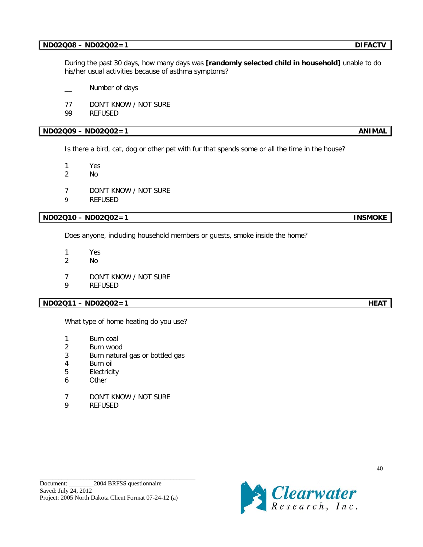## **ND02Q08 – ND02Q02=1 DIFACTV**

During the past 30 days, how many days was **[randomly selected child in household]** unable to do his/her usual activities because of asthma symptoms?

- Number of days
- 77 DON'T KNOW / NOT SURE
- 99 REFUSED

## **ND02Q09 – ND02Q02=1** ANIMAL

Is there a bird, cat, dog or other pet with fur that spends some or all the time in the house?

1 Yes

- 2 No
- 7 DON'T KNOW / NOT SURE
- **9** REFUSED

**ND02Q10 – ND02Q02=1 INSMOKE**

Does anyone, including household members or guests, smoke inside the home?

- 1 Yes
- 2 No
- 7 DON'T KNOW / NOT SURE
- 9 REFUSED

## **ND02Q11 – ND02Q02=1 HEAT**

What type of home heating do you use?

- 1 Burn coal
- 2 Burn wood
- 3 Burn natural gas or bottled gas
- 4 Burn oil
- 5 Electricity
- 6 Other
- 7 DON'T KNOW / NOT SURE
- 9 REFUSED

\_\_\_\_\_\_\_\_\_\_\_\_\_\_\_\_\_\_\_\_\_\_\_\_\_\_\_\_\_\_\_\_\_\_\_\_\_\_\_\_\_\_\_\_\_\_\_\_\_\_

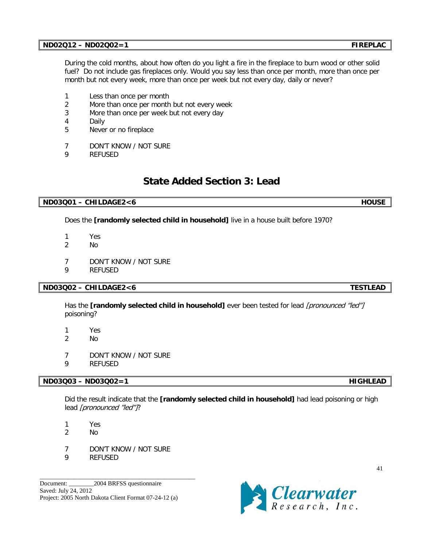## **ND02Q12 – ND02Q02=1 FIREPLAC**

During the cold months, about how often do you light a fire in the fireplace to burn wood or other solid fuel? Do not include gas fireplaces only. Would you say less than once per month, more than once per month but not every week, more than once per week but not every day, daily or never?

- 1 Less than once per month
- 2 More than once per month but not every week
- 3 More than once per week but not every day
- 4 Daily
- 5 Never or no fireplace
- 7 DON'T KNOW / NOT SURE
- 9 REFUSED

# **State Added Section 3: Lead**

## **ND03Q01 – CHILDAGE2<6 HOUSE**

Does the **[randomly selected child in household]** live in a house built before 1970?

- 1 Yes
- 2 No
- 7 DON'T KNOW / NOT SURE
- 9 REFUSED

## **ND03Q02 – CHILDAGE2<6 TESTLEAD**

Has the **[randomly selected child in household]** ever been tested for lead [pronounced "led"] poisoning?

- 1 Yes
- 2 No
- 7 DON'T KNOW / NOT SURE
- 9 REFUSED

## **ND03Q03 – ND03Q02=1 HIGHLEAD**

Did the result indicate that the **[randomly selected child in household]** had lead poisoning or high lead [pronounced "led"]?

- 1 Yes
- 2 No
- 7 DON'T KNOW / NOT SURE

\_\_\_\_\_\_\_\_\_\_\_\_\_\_\_\_\_\_\_\_\_\_\_\_\_\_\_\_\_\_\_\_\_\_\_\_\_\_\_\_\_\_\_\_\_\_\_\_\_\_

9 REFUSED

Document: 2004 BRFSS questionnaire Saved: July 24, 2012 Project: 2005 North Dakota Client Format 07-24-12 (a)

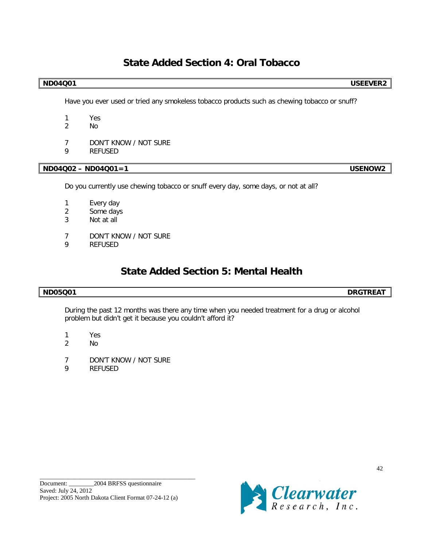# **State Added Section 4: Oral Tobacco**

## **ND04Q01 USEEVER2**

Have you ever used or tried any smokeless tobacco products such as chewing tobacco or snuff?

- 1 Yes
- 2 No
- 7 DON'T KNOW / NOT SURE
- 9 REFUSED

## **ND04Q02 – ND04Q01=1 USENOW2**

Do you currently use chewing tobacco or snuff every day, some days, or not at all?

- 1 Every day
- 2 Some days
- 3 Not at all
- 7 DON'T KNOW / NOT SURE
- 9 REFUSED

# **State Added Section 5: Mental Health**

## **ND05Q01 DRGTREAT**

During the past 12 months was there any time when you needed treatment for a drug or alcohol problem but didn't get it because you couldn't afford it?

- 1 Yes
- 2 No
- 7 DON'T KNOW / NOT SURE
- 9 REFUSED

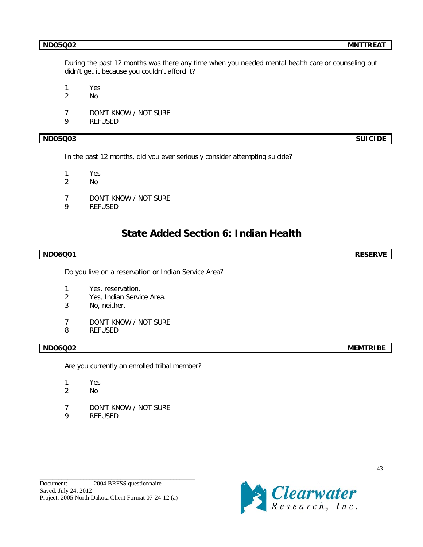During the past 12 months was there any time when you needed mental health care or counseling but didn't get it because you couldn't afford it?

1 Yes

- 2 No
- 7 DON'T KNOW / NOT SURE
- 9 REFUSED

## **ND05Q03 SUICIDE**

In the past 12 months, did you ever seriously consider attempting suicide?

1 Yes

- 2 No
- 7 DON'T KNOW / NOT SURE
- 9 REFUSED

## **State Added Section 6: Indian Health**

### **ND06Q01 RESERVE**

Do you live on a reservation or Indian Service Area?

- 1 Yes, reservation.
- 2 Yes, Indian Service Area.
- 3 No, neither.
- 7 DON'T KNOW / NOT SURE
- 8 REFUSED

Are you currently an enrolled tribal member?

- 1 Yes
- 2 No
- 7 DON'T KNOW / NOT SURE
- 9 REFUSED

\_\_\_\_\_\_\_\_\_\_\_\_\_\_\_\_\_\_\_\_\_\_\_\_\_\_\_\_\_\_\_\_\_\_\_\_\_\_\_\_\_\_\_\_\_\_\_\_\_\_



**ND06Q02 MEMTRIBE**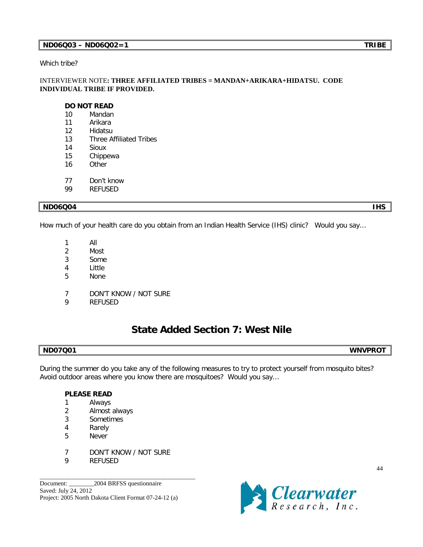## **ND06Q03 – ND06Q02=1 TRIBE**

Which tribe?

## INTERVIEWER NOTE**: THREE AFFILIATED TRIBES = MANDAN+ARIKARA+HIDATSU. CODE INDIVIDUAL TRIBE IF PROVIDED.**

### **DO NOT READ**

- 10 Mandan
- 11 Arikara
- 12 Hidatsu
- 13 Three Affiliated Tribes
- 14 Sioux
- 15 Chippewa
- 16 Other
- 77 Don't know
- 99 REFUSED

### **ND06Q04 IHS**

How much of your health care do you obtain from an Indian Health Service (IHS) clinic? Would you say…

- 1 All
- 2 Most
- 3 Some
- 4 Little
- 5 None
- 7 DON'T KNOW / NOT SURE
- 9 REFUSED

## **State Added Section 7: West Nile**

## **ND07Q01 WNVPROT**

During the summer do you take any of the following measures to try to protect yourself from mosquito bites? Avoid outdoor areas where you know there are mosquitoes? Would you say…

## **PLEASE READ**

- 1 Always
- 2 Almost always
- 3 Sometimes
- 4 Rarely
- 5 Never
- 7 DON'T KNOW / NOT SURE

\_\_\_\_\_\_\_\_\_\_\_\_\_\_\_\_\_\_\_\_\_\_\_\_\_\_\_\_\_\_\_\_\_\_\_\_\_\_\_\_\_\_\_\_\_\_\_\_\_\_

9 REFUSED

Document: 2004 BRFSS questionnaire Saved: July 24, 2012 Project: 2005 North Dakota Client Format 07-24-12 (a)

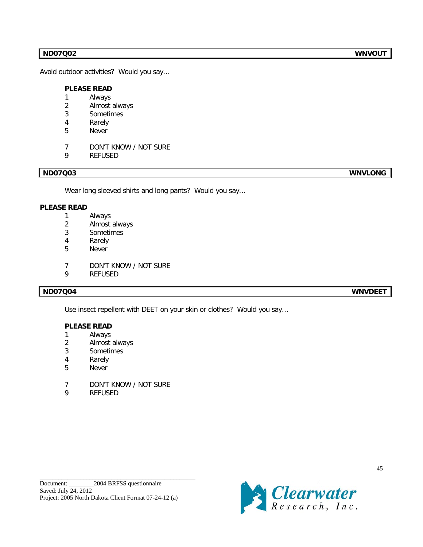## **ND07Q02 WNVOUT**

Avoid outdoor activities? Would you say…

## **PLEASE READ**

- Always
- Almost always
- Sometimes
- Rarely
- Never
- DON'T KNOW / NOT SURE
- REFUSED

## **ND07Q03 WNVLONG**

Wear long sleeved shirts and long pants? Would you say…

## **PLEASE READ**

- Always
- Almost always
- Sometimes
- Rarely
- Never
- DON'T KNOW / NOT SURE
- REFUSED

**ND07Q04 WNVDEET**

Use insect repellent with DEET on your skin or clothes? Would you say…

## **PLEASE READ**

- Always
- Almost always
- Sometimes
- Rarely
- Never
- DON'T KNOW / NOT SURE
- REFUSED

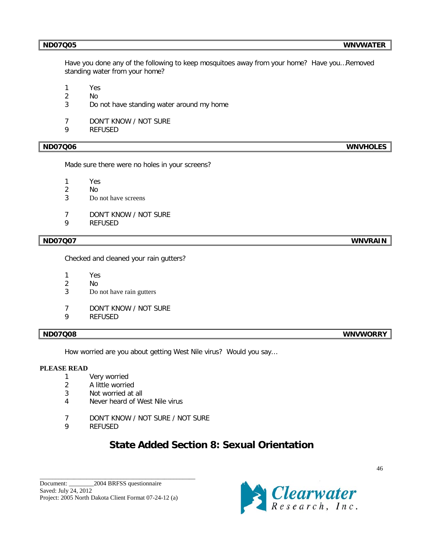Have you done any of the following to keep mosquitoes away from your home? Have you…Removed standing water from your home?

1 Yes

- 2 No
- 3 Do not have standing water around my home
- 7 DON'T KNOW / NOT SURE
- 9 REFUSED

Made sure there were no holes in your screens?

- 1 Yes
- 2 No
- 3 Do not have screens
- 7 DON'T KNOW / NOT SURE
- 9 REFUSED

### **ND07Q07 WNVRAIN**

Checked and cleaned your rain gutters?

- 1 Yes
- 2 No
- 3 Do not have rain gutters
- 7 DON'T KNOW / NOT SURE
- 9 REFUSED

How worried are you about getting West Nile virus? Would you say…

### **PLEASE READ**

- 1 Very worried
- 2 A little worried
- 3 Not worried at all
- 4 Never heard of West Nile virus
- 7 DON'T KNOW / NOT SURE / NOT SURE
- 9 REFUSED

# **State Added Section 8: Sexual Orientation**

\_\_\_\_\_\_\_\_\_\_\_\_\_\_\_\_\_\_\_\_\_\_\_\_\_\_\_\_\_\_\_\_\_\_\_\_\_\_\_\_\_\_\_\_\_\_\_\_\_\_



**ND07Q08 WNVWORRY**

**ND07Q06 WNVHOLES**